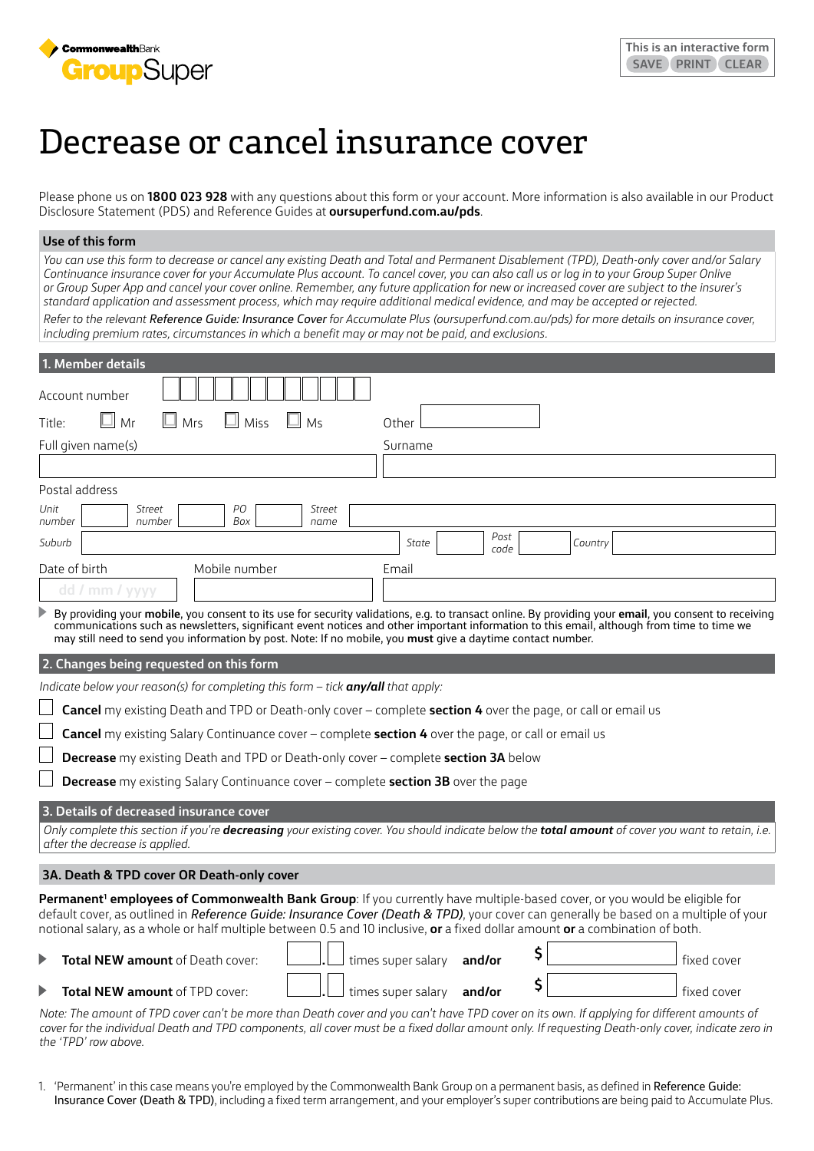

# Decrease or cancel insurance cover

Please phone us on **1800 023 928** with any questions about this form or your account. More information is also available in our Product Disclosure Statement (PDS) and Reference Guides at **[oursuperfund.com.au/pds](https://oursuperfund.com.au/pds)**.

### **Use of this form**

*You can use this form to decrease or cancel any existing Death and Total and Permanent Disablement (TPD), Death-only cover and/or Salary Continuance insurance cover for your Accumulate Plus account. To cancel cover, you can also call us or log in to your Group Super Onlive or Group Super App and cancel your cover online. Remember, any future application for new or increased cover are subject to the insurer's standard application and assessment process, which may require additional medical evidence, and may be accepted or rejected.*

*Refer to the relevant Reference Guide: Insurance Cover for Accumulate Plus [\(oursuperfund.com.au/pds\)](https://oursuperfund.com.au/pds) for more details on insurance cover, including premium rates, circumstances in which a benefit may or may not be paid, and exclusions.*

| 1. Member details                                                                                                             |                                                                                                                                                                                                                                                                                                     |  |  |  |
|-------------------------------------------------------------------------------------------------------------------------------|-----------------------------------------------------------------------------------------------------------------------------------------------------------------------------------------------------------------------------------------------------------------------------------------------------|--|--|--|
|                                                                                                                               |                                                                                                                                                                                                                                                                                                     |  |  |  |
| Account number                                                                                                                |                                                                                                                                                                                                                                                                                                     |  |  |  |
| Mr<br>$\Box$ Mrs<br>Miss<br>ш<br>Ms<br>Title:                                                                                 | Other                                                                                                                                                                                                                                                                                               |  |  |  |
| Full given name(s)                                                                                                            | Surname                                                                                                                                                                                                                                                                                             |  |  |  |
|                                                                                                                               |                                                                                                                                                                                                                                                                                                     |  |  |  |
| Postal address                                                                                                                |                                                                                                                                                                                                                                                                                                     |  |  |  |
| PO<br>Street<br>Unit<br><b>Street</b><br>Box<br>number<br>number<br>name                                                      |                                                                                                                                                                                                                                                                                                     |  |  |  |
| Suburb                                                                                                                        | Post<br>Country<br>State<br>code                                                                                                                                                                                                                                                                    |  |  |  |
| Date of birth<br>Mobile number                                                                                                | Email                                                                                                                                                                                                                                                                                               |  |  |  |
| dd / mm / yyyy                                                                                                                |                                                                                                                                                                                                                                                                                                     |  |  |  |
| ▶<br>may still need to send you information by post. Note: If no mobile, you <b>must</b> give a daytime contact number.       | By providing your mobile, you consent to its use for security validations, e.g. to transact online. By providing your email, you consent to receiving<br>communications such as newsletters, significant event notices and other important information to this email, although from time to time we |  |  |  |
| 2. Changes being requested on this form                                                                                       |                                                                                                                                                                                                                                                                                                     |  |  |  |
| Indicate below your reason(s) for completing this form $-$ tick any/all that apply:                                           |                                                                                                                                                                                                                                                                                                     |  |  |  |
| <b>Cancel</b> my existing Death and TPD or Death-only cover – complete <b>section 4</b> over the page, or call or email us    |                                                                                                                                                                                                                                                                                                     |  |  |  |
| <b>Cancel</b> my existing Salary Continuance cover – complete section 4 over the page, or call or email us                    |                                                                                                                                                                                                                                                                                                     |  |  |  |
| <b>Decrease</b> my existing Death and TPD or Death-only cover - complete <b>section 3A</b> below                              |                                                                                                                                                                                                                                                                                                     |  |  |  |
| <b>Decrease</b> my existing Salary Continuance cover - complete <b>section 3B</b> over the page                               |                                                                                                                                                                                                                                                                                                     |  |  |  |
| 3. Details of decreased insurance cover                                                                                       |                                                                                                                                                                                                                                                                                                     |  |  |  |
| after the decrease is applied.                                                                                                | Only complete this section if you're <b>decreasing</b> your existing cover. You should indicate below the <b>total amount</b> of cover you want to retain, i.e.                                                                                                                                     |  |  |  |
| 3A. Death & TPD cover OR Death-only cover                                                                                     |                                                                                                                                                                                                                                                                                                     |  |  |  |
| notional salary, as a whole or half multiple between 0.5 and 10 inclusive, or a fixed dollar amount or a combination of both. | Permanent <sup>1</sup> employees of Commonwealth Bank Group: If you currently have multiple-based cover, or you would be eligible for<br>default cover, as outlined in Reference Guide: Insurance Cover (Death & TPD), your cover can generally be based on a multiple of your                      |  |  |  |
| ▶<br><b>Total NEW amount of Death cover:</b>                                                                                  | \$<br>times super salary<br>fixed cover<br>and/or                                                                                                                                                                                                                                                   |  |  |  |
| ▶<br><b>Total NEW amount of TPD cover:</b>                                                                                    | \$<br>times super salary<br>fixed cover<br>and/or                                                                                                                                                                                                                                                   |  |  |  |
|                                                                                                                               |                                                                                                                                                                                                                                                                                                     |  |  |  |

*Note: The amount of TPD cover can't be more than Death cover and you can't have TPD cover on its own. If applying for different amounts of*  cover for the individual Death and TPD components, all cover must be a fixed dollar amount only. If requesting Death-only cover, indicate zero in *the 'TPD' row above.*

1. 'Permanent' in this case means you're employed by the Commonwealth Bank Group on a permanent basis, as defined in Reference Guide: Insurance Cover (Death & TPD), including a fixed term arrangement, and your employer's super contributions are being paid to Accumulate Plus.